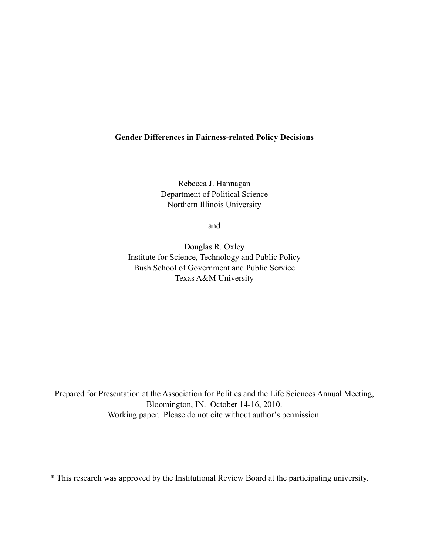# **Gender Differences in Fairness-related Policy Decisions**

Rebecca J. Hannagan Department of Political Science Northern Illinois University

and

Douglas R. Oxley Institute for Science, Technology and Public Policy Bush School of Government and Public Service Texas A&M University

Prepared for Presentation at the Association for Politics and the Life Sciences Annual Meeting, Bloomington, IN. October 14-16, 2010. Working paper. Please do not cite without author's permission.

\* This research was approved by the Institutional Review Board at the participating university.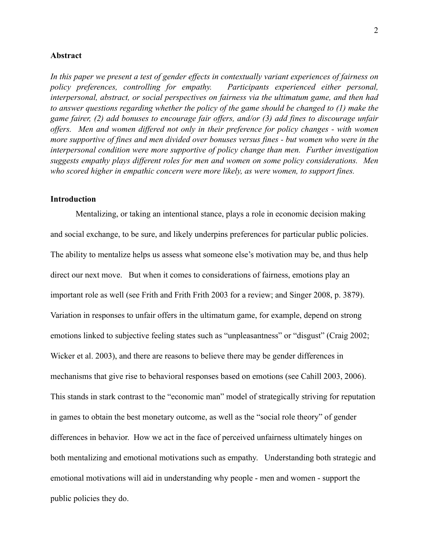### **Abstract**

*In this paper we present a test of gender effects in contextually variant experiences of fairness on policy preferences, controlling for empathy. Participants experienced either personal, interpersonal, abstract, or social perspectives on fairness via the ultimatum game, and then had to answer questions regarding whether the policy of the game should be changed to (1) make the game fairer, (2) add bonuses to encourage fair offers, and/or (3) add fines to discourage unfair offers. Men and women differed not only in their preference for policy changes - with women more supportive of fines and men divided over bonuses versus fines - but women who were in the interpersonal condition were more supportive of policy change than men. Further investigation suggests empathy plays different roles for men and women on some policy considerations. Men who scored higher in empathic concern were more likely, as were women, to support fines.*

### **Introduction**

Mentalizing, or taking an intentional stance, plays a role in economic decision making and social exchange, to be sure, and likely underpins preferences for particular public policies. The ability to mentalize helps us assess what someone else's motivation may be, and thus help direct our next move. But when it comes to considerations of fairness, emotions play an important role as well (see Frith and Frith Frith 2003 for a review; and Singer 2008, p. 3879). Variation in responses to unfair offers in the ultimatum game, for example, depend on strong emotions linked to subjective feeling states such as "unpleasantness" or "disgust" (Craig 2002; Wicker et al. 2003), and there are reasons to believe there may be gender differences in mechanisms that give rise to behavioral responses based on emotions (see Cahill 2003, 2006). This stands in stark contrast to the "economic man" model of strategically striving for reputation in games to obtain the best monetary outcome, as well as the "social role theory" of gender differences in behavior. How we act in the face of perceived unfairness ultimately hinges on both mentalizing and emotional motivations such as empathy. Understanding both strategic and emotional motivations will aid in understanding why people - men and women - support the public policies they do.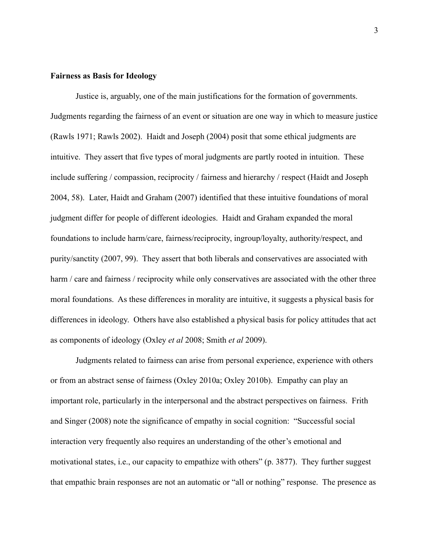#### **Fairness as Basis for Ideology**

Justice is, arguably, one of the main justifications for the formation of governments. Judgments regarding the fairness of an event or situation are one way in which to measure justice (Rawls 1971; Rawls 2002). Haidt and Joseph (2004) posit that some ethical judgments are intuitive. They assert that five types of moral judgments are partly rooted in intuition. These include suffering / compassion, reciprocity / fairness and hierarchy / respect (Haidt and Joseph 2004, 58). Later, Haidt and Graham (2007) identified that these intuitive foundations of moral judgment differ for people of different ideologies. Haidt and Graham expanded the moral foundations to include harm/care, fairness/reciprocity, ingroup/loyalty, authority/respect, and purity/sanctity (2007, 99). They assert that both liberals and conservatives are associated with harm / care and fairness / reciprocity while only conservatives are associated with the other three moral foundations. As these differences in morality are intuitive, it suggests a physical basis for differences in ideology. Others have also established a physical basis for policy attitudes that act as components of ideology (Oxley *et al* 2008; Smith *et al* 2009).

Judgments related to fairness can arise from personal experience, experience with others or from an abstract sense of fairness (Oxley 2010a; Oxley 2010b). Empathy can play an important role, particularly in the interpersonal and the abstract perspectives on fairness. Frith and Singer (2008) note the significance of empathy in social cognition: "Successful social interaction very frequently also requires an understanding of the other's emotional and motivational states, i.e., our capacity to empathize with others" (p. 3877). They further suggest that empathic brain responses are not an automatic or "all or nothing" response. The presence as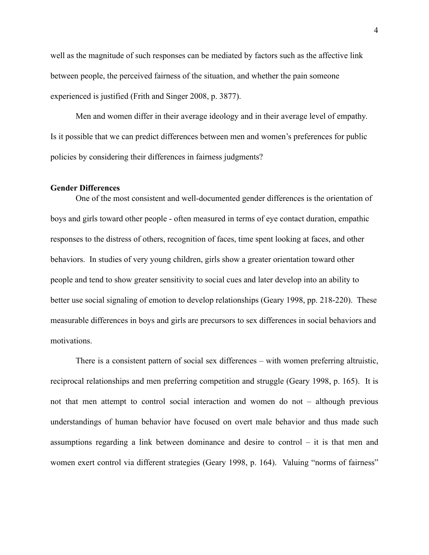well as the magnitude of such responses can be mediated by factors such as the affective link between people, the perceived fairness of the situation, and whether the pain someone experienced is justified (Frith and Singer 2008, p. 3877).

Men and women differ in their average ideology and in their average level of empathy. Is it possible that we can predict differences between men and women's preferences for public policies by considering their differences in fairness judgments?

#### **Gender Differences**

 One of the most consistent and well-documented gender differences is the orientation of boys and girls toward other people - often measured in terms of eye contact duration, empathic responses to the distress of others, recognition of faces, time spent looking at faces, and other behaviors. In studies of very young children, girls show a greater orientation toward other people and tend to show greater sensitivity to social cues and later develop into an ability to better use social signaling of emotion to develop relationships (Geary 1998, pp. 218-220). These measurable differences in boys and girls are precursors to sex differences in social behaviors and motivations.

There is a consistent pattern of social sex differences – with women preferring altruistic, reciprocal relationships and men preferring competition and struggle (Geary 1998, p. 165). It is not that men attempt to control social interaction and women do not – although previous understandings of human behavior have focused on overt male behavior and thus made such assumptions regarding a link between dominance and desire to control – it is that men and women exert control via different strategies (Geary 1998, p. 164). Valuing "norms of fairness"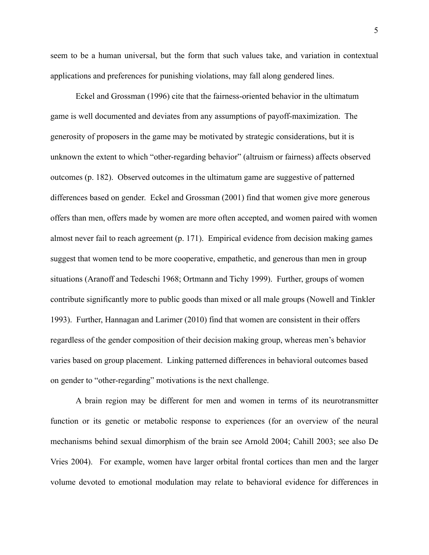seem to be a human universal, but the form that such values take, and variation in contextual applications and preferences for punishing violations, may fall along gendered lines.

Eckel and Grossman (1996) cite that the fairness-oriented behavior in the ultimatum game is well documented and deviates from any assumptions of payoff-maximization. The generosity of proposers in the game may be motivated by strategic considerations, but it is unknown the extent to which "other-regarding behavior" (altruism or fairness) affects observed outcomes (p. 182). Observed outcomes in the ultimatum game are suggestive of patterned differences based on gender. Eckel and Grossman (2001) find that women give more generous offers than men, offers made by women are more often accepted, and women paired with women almost never fail to reach agreement (p. 171). Empirical evidence from decision making games suggest that women tend to be more cooperative, empathetic, and generous than men in group situations (Aranoff and Tedeschi 1968; Ortmann and Tichy 1999). Further, groups of women contribute significantly more to public goods than mixed or all male groups (Nowell and Tinkler 1993). Further, Hannagan and Larimer (2010) find that women are consistent in their offers regardless of the gender composition of their decision making group, whereas men's behavior varies based on group placement. Linking patterned differences in behavioral outcomes based on gender to "other-regarding" motivations is the next challenge.

A brain region may be different for men and women in terms of its neurotransmitter function or its genetic or metabolic response to experiences (for an overview of the neural mechanisms behind sexual dimorphism of the brain see Arnold 2004; Cahill 2003; see also De Vries 2004). For example, women have larger orbital frontal cortices than men and the larger volume devoted to emotional modulation may relate to behavioral evidence for differences in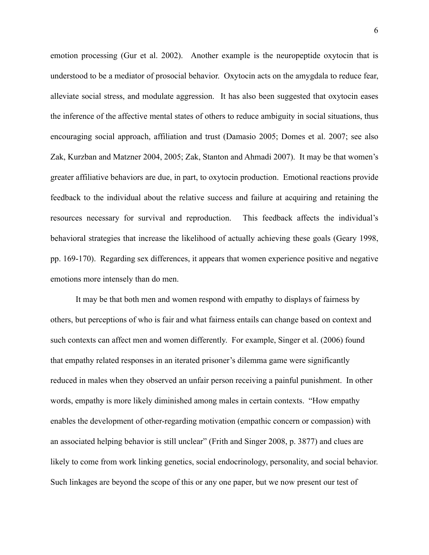emotion processing (Gur et al. 2002). Another example is the neuropeptide oxytocin that is understood to be a mediator of prosocial behavior. Oxytocin acts on the amygdala to reduce fear, alleviate social stress, and modulate aggression. It has also been suggested that oxytocin eases the inference of the affective mental states of others to reduce ambiguity in social situations, thus encouraging social approach, affiliation and trust (Damasio 2005; Domes et al. 2007; see also Zak, Kurzban and Matzner 2004, 2005; Zak, Stanton and Ahmadi 2007). It may be that women's greater affiliative behaviors are due, in part, to oxytocin production. Emotional reactions provide feedback to the individual about the relative success and failure at acquiring and retaining the resources necessary for survival and reproduction. This feedback affects the individual's behavioral strategies that increase the likelihood of actually achieving these goals (Geary 1998, pp. 169-170). Regarding sex differences, it appears that women experience positive and negative emotions more intensely than do men.

It may be that both men and women respond with empathy to displays of fairness by others, but perceptions of who is fair and what fairness entails can change based on context and such contexts can affect men and women differently. For example, Singer et al. (2006) found that empathy related responses in an iterated prisoner's dilemma game were significantly reduced in males when they observed an unfair person receiving a painful punishment. In other words, empathy is more likely diminished among males in certain contexts. "How empathy enables the development of other-regarding motivation (empathic concern or compassion) with an associated helping behavior is still unclear" (Frith and Singer 2008, p. 3877) and clues are likely to come from work linking genetics, social endocrinology, personality, and social behavior. Such linkages are beyond the scope of this or any one paper, but we now present our test of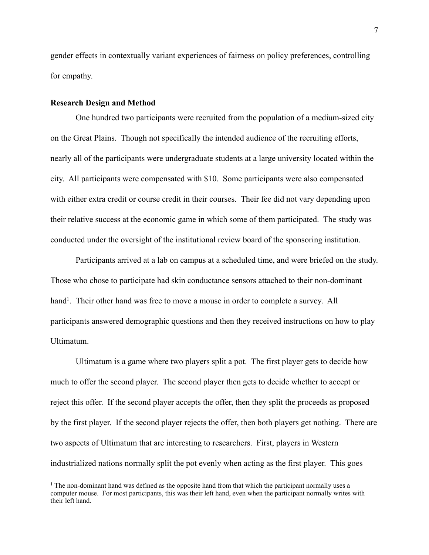gender effects in contextually variant experiences of fairness on policy preferences, controlling for empathy.

### **Research Design and Method**

One hundred two participants were recruited from the population of a medium-sized city on the Great Plains. Though not specifically the intended audience of the recruiting efforts, nearly all of the participants were undergraduate students at a large university located within the city. All participants were compensated with \$10. Some participants were also compensated with either extra credit or course credit in their courses. Their fee did not vary depending upon their relative success at the economic game in which some of them participated. The study was conducted under the oversight of the institutional review board of the sponsoring institution.

Participants arrived at a lab on campus at a scheduled time, and were briefed on the study. Those who chose to participate had skin conductance sensors attached to their non-dominant hand<sup>1</sup>. Their other hand was free to move a mouse in order to complete a survey. All participants answered demographic questions and then they received instructions on how to play Ultimatum.

Ultimatum is a game where two players split a pot. The first player gets to decide how much to offer the second player. The second player then gets to decide whether to accept or reject this offer. If the second player accepts the offer, then they split the proceeds as proposed by the first player. If the second player rejects the offer, then both players get nothing. There are two aspects of Ultimatum that are interesting to researchers. First, players in Western industrialized nations normally split the pot evenly when acting as the first player. This goes

<span id="page-6-0"></span><sup>&</sup>lt;sup>1</sup> The non-dominant hand was defined as the opposite hand from that which the participant normally uses a computer mouse. For most participants, this was their left hand, even when the participant normally writes with their left hand.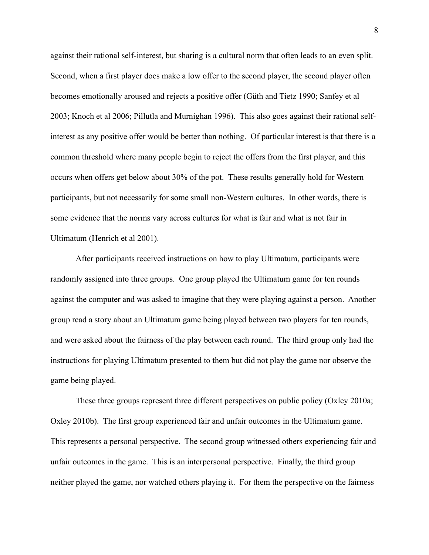against their rational self-interest, but sharing is a cultural norm that often leads to an even split. Second, when a first player does make a low offer to the second player, the second player often becomes emotionally aroused and rejects a positive offer (Güth and Tietz 1990; Sanfey et al 2003; Knoch et al 2006; Pillutla and Murnighan 1996). This also goes against their rational selfinterest as any positive offer would be better than nothing. Of particular interest is that there is a common threshold where many people begin to reject the offers from the first player, and this occurs when offers get below about 30% of the pot. These results generally hold for Western participants, but not necessarily for some small non-Western cultures. In other words, there is some evidence that the norms vary across cultures for what is fair and what is not fair in Ultimatum (Henrich et al 2001).

After participants received instructions on how to play Ultimatum, participants were randomly assigned into three groups. One group played the Ultimatum game for ten rounds against the computer and was asked to imagine that they were playing against a person. Another group read a story about an Ultimatum game being played between two players for ten rounds, and were asked about the fairness of the play between each round. The third group only had the instructions for playing Ultimatum presented to them but did not play the game nor observe the game being played.

These three groups represent three different perspectives on public policy (Oxley 2010a; Oxley 2010b). The first group experienced fair and unfair outcomes in the Ultimatum game. This represents a personal perspective. The second group witnessed others experiencing fair and unfair outcomes in the game. This is an interpersonal perspective. Finally, the third group neither played the game, nor watched others playing it. For them the perspective on the fairness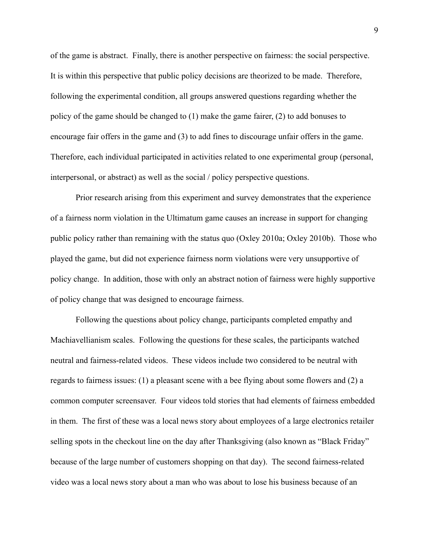of the game is abstract. Finally, there is another perspective on fairness: the social perspective. It is within this perspective that public policy decisions are theorized to be made. Therefore, following the experimental condition, all groups answered questions regarding whether the policy of the game should be changed to (1) make the game fairer, (2) to add bonuses to encourage fair offers in the game and (3) to add fines to discourage unfair offers in the game. Therefore, each individual participated in activities related to one experimental group (personal, interpersonal, or abstract) as well as the social / policy perspective questions.

Prior research arising from this experiment and survey demonstrates that the experience of a fairness norm violation in the Ultimatum game causes an increase in support for changing public policy rather than remaining with the status quo (Oxley 2010a; Oxley 2010b). Those who played the game, but did not experience fairness norm violations were very unsupportive of policy change. In addition, those with only an abstract notion of fairness were highly supportive of policy change that was designed to encourage fairness.

Following the questions about policy change, participants completed empathy and Machiavellianism scales. Following the questions for these scales, the participants watched neutral and fairness-related videos. These videos include two considered to be neutral with regards to fairness issues: (1) a pleasant scene with a bee flying about some flowers and (2) a common computer screensaver. Four videos told stories that had elements of fairness embedded in them. The first of these was a local news story about employees of a large electronics retailer selling spots in the checkout line on the day after Thanksgiving (also known as "Black Friday" because of the large number of customers shopping on that day). The second fairness-related video was a local news story about a man who was about to lose his business because of an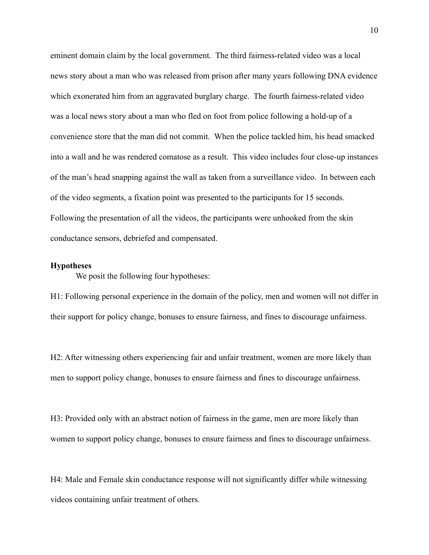eminent domain claim by the local government. The third fairness-related video was a local news story about a man who was released from prison after many years following DNA evidence which exonerated him from an aggravated burglary charge. The fourth fairness-related video was a local news story about a man who fled on foot from police following a hold-up of a convenience store that the man did not commit. When the police tackled him, his head smacked into a wall and he was rendered comatose as a result. This video includes four close-up instances of the man's head snapping against the wall as taken from a surveillance video. In between each of the video segments, a fixation point was presented to the participants for 15 seconds. Following the presentation of all the videos, the participants were unhooked from the skin conductance sensors, debriefed and compensated.

## **Hypotheses**

We posit the following four hypotheses:

H1: Following personal experience in the domain of the policy, men and women will not differ in their support for policy change, bonuses to ensure fairness, and fines to discourage unfairness.

H2: After witnessing others experiencing fair and unfair treatment, women are more likely than men to support policy change, bonuses to ensure fairness and fines to discourage unfairness.

H3: Provided only with an abstract notion of fairness in the game, men are more likely than women to support policy change, bonuses to ensure fairness and fines to discourage unfairness.

H4: Male and Female skin conductance response will not significantly differ while witnessing videos containing unfair treatment of others.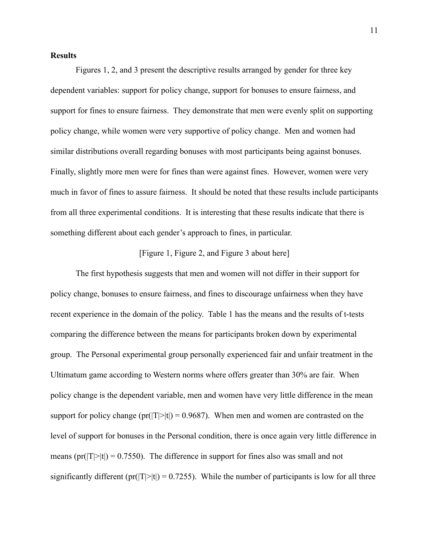# **Results**

Figures 1, 2, and 3 present the descriptive results arranged by gender for three key dependent variables: support for policy change, support for bonuses to ensure fairness, and support for fines to ensure fairness. They demonstrate that men were evenly split on supporting policy change, while women were very supportive of policy change. Men and women had similar distributions overall regarding bonuses with most participants being against bonuses. Finally, slightly more men were for fines than were against fines. However, women were very much in favor of fines to assure fairness. It should be noted that these results include participants from all three experimental conditions. It is interesting that these results indicate that there is something different about each gender's approach to fines, in particular.

# [Figure 1, Figure 2, and Figure 3 about here]

The first hypothesis suggests that men and women will not differ in their support for policy change, bonuses to ensure fairness, and fines to discourage unfairness when they have recent experience in the domain of the policy. Table 1 has the means and the results of t-tests comparing the difference between the means for participants broken down by experimental group. The Personal experimental group personally experienced fair and unfair treatment in the Ultimatum game according to Western norms where offers greater than 30% are fair. When policy change is the dependent variable, men and women have very little difference in the mean support for policy change (pr( $|T|>|t|$ ) = 0.9687). When men and women are contrasted on the level of support for bonuses in the Personal condition, there is once again very little difference in means ( $pr(|T|>|t|) = 0.7550$ ). The difference in support for fines also was small and not significantly different (pr( $|T|>|t|$ ) = 0.7255). While the number of participants is low for all three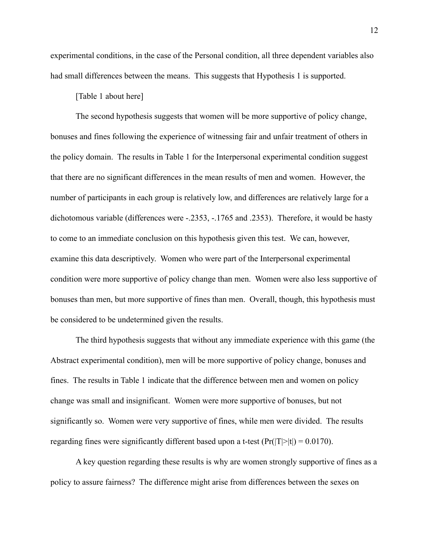experimental conditions, in the case of the Personal condition, all three dependent variables also had small differences between the means. This suggests that Hypothesis 1 is supported.

[Table 1 about here]

The second hypothesis suggests that women will be more supportive of policy change, bonuses and fines following the experience of witnessing fair and unfair treatment of others in the policy domain. The results in Table 1 for the Interpersonal experimental condition suggest that there are no significant differences in the mean results of men and women. However, the number of participants in each group is relatively low, and differences are relatively large for a dichotomous variable (differences were -.2353, -.1765 and .2353). Therefore, it would be hasty to come to an immediate conclusion on this hypothesis given this test. We can, however, examine this data descriptively. Women who were part of the Interpersonal experimental condition were more supportive of policy change than men. Women were also less supportive of bonuses than men, but more supportive of fines than men. Overall, though, this hypothesis must be considered to be undetermined given the results.

The third hypothesis suggests that without any immediate experience with this game (the Abstract experimental condition), men will be more supportive of policy change, bonuses and fines. The results in Table 1 indicate that the difference between men and women on policy change was small and insignificant. Women were more supportive of bonuses, but not significantly so. Women were very supportive of fines, while men were divided. The results regarding fines were significantly different based upon a t-test  $(\Pr(|T|>|t|) = 0.0170)$ .

A key question regarding these results is why are women strongly supportive of fines as a policy to assure fairness? The difference might arise from differences between the sexes on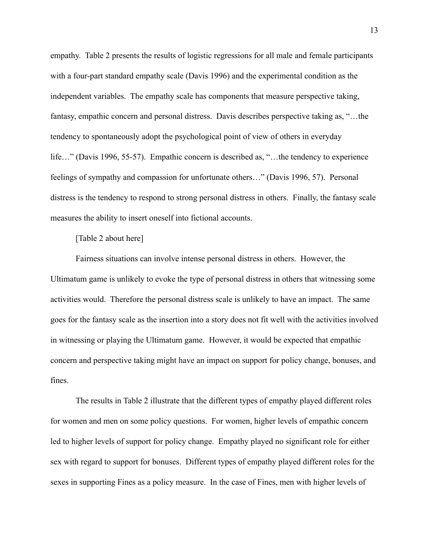empathy. Table 2 presents the results of logistic regressions for all male and female participants with a four-part standard empathy scale (Davis 1996) and the experimental condition as the independent variables. The empathy scale has components that measure perspective taking, fantasy, empathic concern and personal distress. Davis describes perspective taking as, "...the tendency to spontaneously adopt the psychological point of view of others in everyday life…" (Davis 1996, 55-57). Empathic concern is described as, "…the tendency to experience feelings of sympathy and compassion for unfortunate others…" (Davis 1996, 57). Personal distress is the tendency to respond to strong personal distress in others. Finally, the fantasy scale measures the ability to insert oneself into fictional accounts.

# [Table 2 about here]

Fairness situations can involve intense personal distress in others. However, the Ultimatum game is unlikely to evoke the type of personal distress in others that witnessing some activities would. Therefore the personal distress scale is unlikely to have an impact. The same goes for the fantasy scale as the insertion into a story does not fit well with the activities involved in witnessing or playing the Ultimatum game. However, it would be expected that empathic concern and perspective taking might have an impact on support for policy change, bonuses, and fines.

The results in Table 2 illustrate that the different types of empathy played different roles for women and men on some policy questions. For women, higher levels of empathic concern led to higher levels of support for policy change. Empathy played no significant role for either sex with regard to support for bonuses. Different types of empathy played different roles for the sexes in supporting Fines as a policy measure. In the case of Fines, men with higher levels of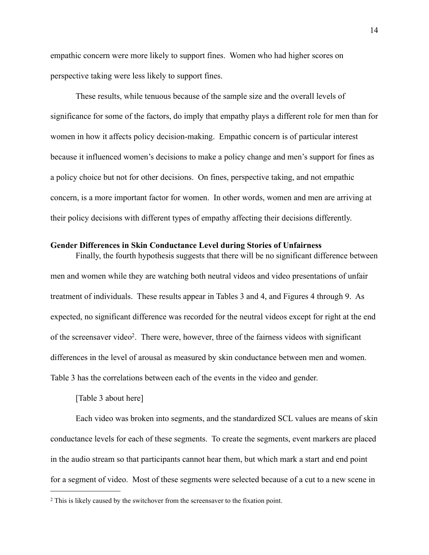empathic concern were more likely to support fines. Women who had higher scores on perspective taking were less likely to support fines.

These results, while tenuous because of the sample size and the overall levels of significance for some of the factors, do imply that empathy plays a different role for men than for women in how it affects policy decision-making. Empathic concern is of particular interest because it influenced women's decisions to make a policy change and men's support for fines as a policy choice but not for other decisions. On fines, perspective taking, and not empathic concern, is a more important factor for women. In other words, women and men are arriving at their policy decisions with different types of empathy affecting their decisions differently.

#### **Gender Differences in Skin Conductance Level during Stories of Unfairness**

Finally, the fourth hypothesis suggests that there will be no significant difference between men and women while they are watching both neutral videos and video presentations of unfair treatment of individuals. These results appear in Tables 3 and 4, and Figures 4 through 9. As expected, no significant difference was recorded for the neutral videos except for right at the end of the screensaver vide[o2](#page-13-0). There were, however, three of the fairness videos with significant differences in the level of arousal as measured by skin conductance between men and women. Table 3 has the correlations between each of the events in the video and gender.

# [Table 3 about here]

Each video was broken into segments, and the standardized SCL values are means of skin conductance levels for each of these segments. To create the segments, event markers are placed in the audio stream so that participants cannot hear them, but which mark a start and end point for a segment of video. Most of these segments were selected because of a cut to a new scene in

<span id="page-13-0"></span><sup>2</sup> This is likely caused by the switchover from the screensaver to the fixation point.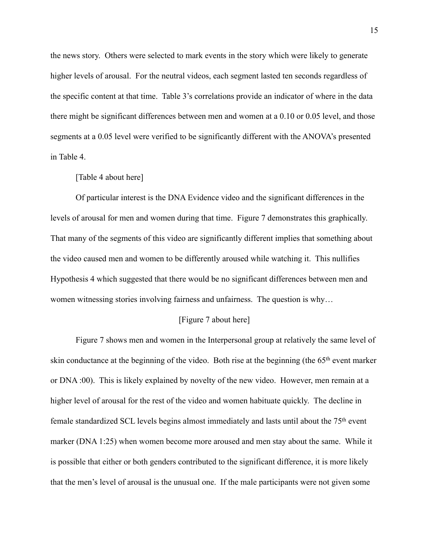the news story. Others were selected to mark events in the story which were likely to generate higher levels of arousal. For the neutral videos, each segment lasted ten seconds regardless of the specific content at that time. Table 3's correlations provide an indicator of where in the data there might be significant differences between men and women at a 0.10 or 0.05 level, and those segments at a 0.05 level were verified to be significantly different with the ANOVA's presented in Table 4.

#### [Table 4 about here]

Of particular interest is the DNA Evidence video and the significant differences in the levels of arousal for men and women during that time. Figure 7 demonstrates this graphically. That many of the segments of this video are significantly different implies that something about the video caused men and women to be differently aroused while watching it. This nullifies Hypothesis 4 which suggested that there would be no significant differences between men and women witnessing stories involving fairness and unfairness. The question is why...

## [Figure 7 about here]

Figure 7 shows men and women in the Interpersonal group at relatively the same level of skin conductance at the beginning of the video. Both rise at the beginning (the 65th event marker or DNA :00). This is likely explained by novelty of the new video. However, men remain at a higher level of arousal for the rest of the video and women habituate quickly. The decline in female standardized SCL levels begins almost immediately and lasts until about the 75th event marker (DNA 1:25) when women become more aroused and men stay about the same. While it is possible that either or both genders contributed to the significant difference, it is more likely that the men's level of arousal is the unusual one. If the male participants were not given some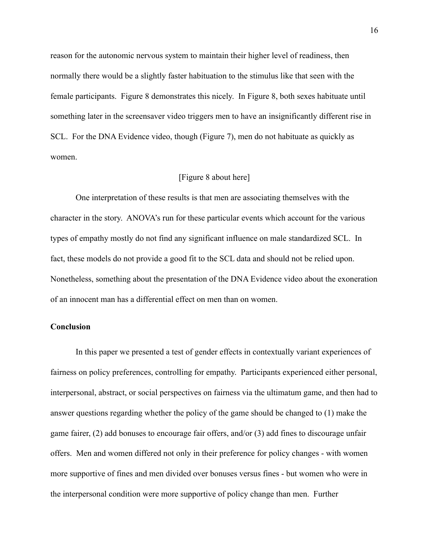reason for the autonomic nervous system to maintain their higher level of readiness, then normally there would be a slightly faster habituation to the stimulus like that seen with the female participants. Figure 8 demonstrates this nicely. In Figure 8, both sexes habituate until something later in the screensaver video triggers men to have an insignificantly different rise in SCL. For the DNA Evidence video, though (Figure 7), men do not habituate as quickly as women.

### [Figure 8 about here]

One interpretation of these results is that men are associating themselves with the character in the story. ANOVA's run for these particular events which account for the various types of empathy mostly do not find any significant influence on male standardized SCL. In fact, these models do not provide a good fit to the SCL data and should not be relied upon. Nonetheless, something about the presentation of the DNA Evidence video about the exoneration of an innocent man has a differential effect on men than on women.

### **Conclusion**

 In this paper we presented a test of gender effects in contextually variant experiences of fairness on policy preferences, controlling for empathy. Participants experienced either personal, interpersonal, abstract, or social perspectives on fairness via the ultimatum game, and then had to answer questions regarding whether the policy of the game should be changed to (1) make the game fairer, (2) add bonuses to encourage fair offers, and/or (3) add fines to discourage unfair offers. Men and women differed not only in their preference for policy changes - with women more supportive of fines and men divided over bonuses versus fines - but women who were in the interpersonal condition were more supportive of policy change than men. Further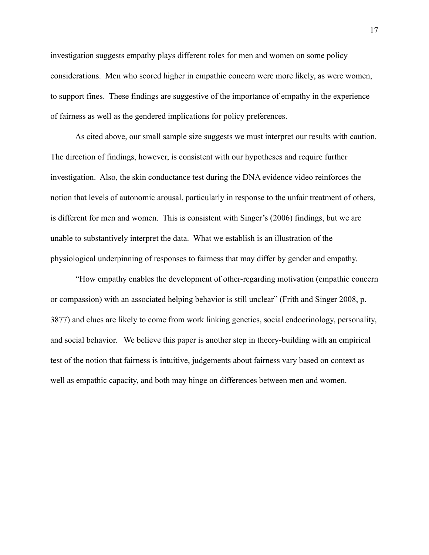investigation suggests empathy plays different roles for men and women on some policy considerations. Men who scored higher in empathic concern were more likely, as were women, to support fines. These findings are suggestive of the importance of empathy in the experience of fairness as well as the gendered implications for policy preferences.

 As cited above, our small sample size suggests we must interpret our results with caution. The direction of findings, however, is consistent with our hypotheses and require further investigation. Also, the skin conductance test during the DNA evidence video reinforces the notion that levels of autonomic arousal, particularly in response to the unfair treatment of others, is different for men and women. This is consistent with Singer's (2006) findings, but we are unable to substantively interpret the data. What we establish is an illustration of the physiological underpinning of responses to fairness that may differ by gender and empathy.

 "How empathy enables the development of other-regarding motivation (empathic concern or compassion) with an associated helping behavior is still unclear" (Frith and Singer 2008, p. 3877) and clues are likely to come from work linking genetics, social endocrinology, personality, and social behavior. We believe this paper is another step in theory-building with an empirical test of the notion that fairness is intuitive, judgements about fairness vary based on context as well as empathic capacity, and both may hinge on differences between men and women.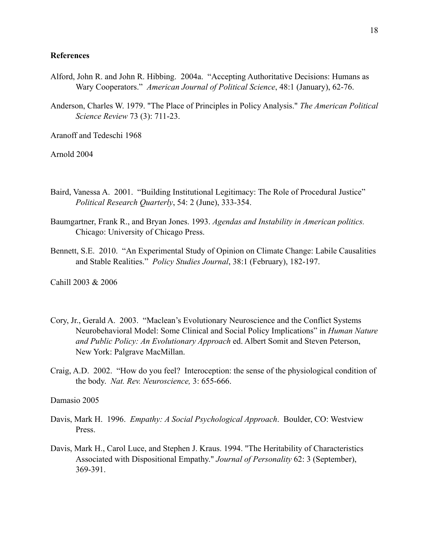### **References**

- Alford, John R. and John R. Hibbing. 2004a. "Accepting Authoritative Decisions: Humans as Wary Cooperators." *American Journal of Political Science*, 48:1 (January), 62-76.
- Anderson, Charles W. 1979. "The Place of Principles in Policy Analysis." *The American Political Science Review* 73 (3): 711-23.

Aranoff and Tedeschi 1968

Arnold 2004

- Baird, Vanessa A. 2001. "Building Institutional Legitimacy: The Role of Procedural Justice" *Political Research Quarterly*, 54: 2 (June), 333-354.
- Baumgartner, Frank R., and Bryan Jones. 1993. *Agendas and Instability in American politics.* Chicago: University of Chicago Press.
- Bennett, S.E. 2010. "An Experimental Study of Opinion on Climate Change: Labile Causalities and Stable Realities." *Policy Studies Journal*, 38:1 (February), 182-197.

Cahill 2003 & 2006

- Cory, Jr., Gerald A. 2003. "Maclean's Evolutionary Neuroscience and the Conflict Systems Neurobehavioral Model: Some Clinical and Social Policy Implications" in *Human Nature and Public Policy: An Evolutionary Approach* ed. Albert Somit and Steven Peterson, New York: Palgrave MacMillan.
- Craig, A.D. 2002. "How do you feel? Interoception: the sense of the physiological condition of the body. *Nat. Rev. Neuroscience,* 3: 655-666.

Damasio 2005

- Davis, Mark H. 1996. *Empathy: A Social Psychological Approach*. Boulder, CO: Westview Press.
- Davis, Mark H., Carol Luce, and Stephen J. Kraus. 1994. "The Heritability of Characteristics Associated with Dispositional Empathy." *Journal of Personality* 62: 3 (September), 369-391.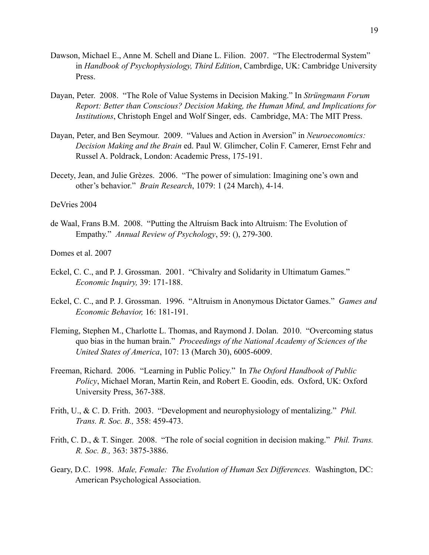- Dawson, Michael E., Anne M. Schell and Diane L. Filion. 2007. "The Electrodermal System" in *Handbook of Psychophysiology, Third Edition*, Cambrdige, UK: Cambridge University Press.
- Dayan, Peter. 2008. "The Role of Value Systems in Decision Making." In *Strüngmann Forum Report: Better than Conscious? Decision Making, the Human Mind, and Implications for Institutions*, Christoph Engel and Wolf Singer, eds. Cambridge, MA: The MIT Press.
- Dayan, Peter, and Ben Seymour. 2009. "Values and Action in Aversion" in *Neuroeconomics: Decision Making and the Brain* ed. Paul W. Glimcher, Colin F. Camerer, Ernst Fehr and Russel A. Poldrack, London: Academic Press, 175-191.
- Decety, Jean, and Julie Grèzes. 2006. "The power of simulation: Imagining one's own and other's behavior." *Brain Research*, 1079: 1 (24 March), 4-14.

## DeVries 2004

de Waal, Frans B.M. 2008. "Putting the Altruism Back into Altruism: The Evolution of Empathy." *Annual Review of Psychology*, 59: (), 279-300.

Domes et al. 2007

- Eckel, C. C., and P. J. Grossman. 2001. "Chivalry and Solidarity in Ultimatum Games." *Economic Inquiry,* 39: 171-188.
- Eckel, C. C., and P. J. Grossman. 1996. "Altruism in Anonymous Dictator Games." *Games and Economic Behavior,* 16: 181-191.
- Fleming, Stephen M., Charlotte L. Thomas, and Raymond J. Dolan. 2010. "Overcoming status quo bias in the human brain." *Proceedings of the National Academy of Sciences of the United States of America*, 107: 13 (March 30), 6005-6009.
- Freeman, Richard. 2006. "Learning in Public Policy." In *The Oxford Handbook of Public Policy*, Michael Moran, Martin Rein, and Robert E. Goodin, eds. Oxford, UK: Oxford University Press, 367-388.
- Frith, U., & C. D. Frith. 2003. "Development and neurophysiology of mentalizing." *Phil. Trans. R. Soc. B.,* 358: 459-473.
- Frith, C. D., & T. Singer. 2008. "The role of social cognition in decision making." *Phil. Trans. R. Soc. B.,* 363: 3875-3886.
- Geary, D.C. 1998. *Male, Female: The Evolution of Human Sex Differences.* Washington, DC: American Psychological Association.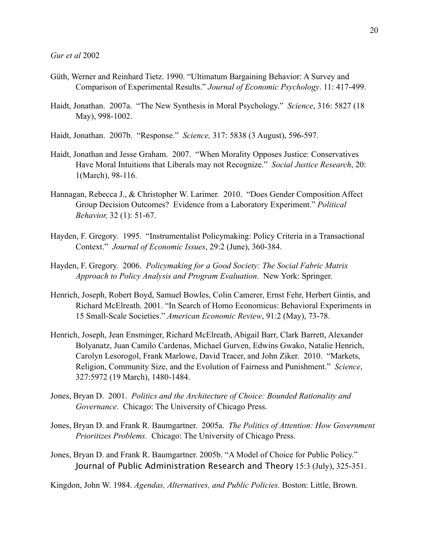- Güth, Werner and Reinhard Tietz. 1990. "Ultimatum Bargaining Behavior: A Survey and Comparison of Experimental Results." *Journal of Economic Psychology*. 11: 417-499.
- Haidt, Jonathan. 2007a. "The New Synthesis in Moral Psychology." *Science*, 316: 5827 (18 May), 998-1002.
- Haidt, Jonathan. 2007b. "Response." *Science,* 317: 5838 (3 August), 596-597.
- Haidt, Jonathan and Jesse Graham. 2007. "When Morality Opposes Justice: Conservatives Have Moral Intuitions that Liberals may not Recognize." *Social Justice Research*, 20: 1(March), 98-116.
- Hannagan, Rebecca J., & Christopher W. Larimer. 2010. "Does Gender Composition Affect Group Decision Outcomes? Evidence from a Laboratory Experiment." *Political Behavior,* 32 (1): 51-67.
- Hayden, F. Gregory. 1995. "Instrumentalist Policymaking: Policy Criteria in a Transactional Context." *Journal of Economic Issues*, 29:2 (June), 360-384.
- Hayden, F. Gregory. 2006. *Policymaking for a Good Society: The Social Fabric Matrix Approach to Policy Analysis and Program Evaluation*. New York: Springer.
- Henrich, Joseph, Robert Boyd, Samuel Bowles, Colin Camerer, Ernst Fehr, Herbert Gintis, and Richard McElreath. 2001. "In Search of Homo Economicus: Behavioral Experiments in 15 Small-Scale Societies." *American Economic Review*, 91:2 (May), 73-78.
- Henrich, Joseph, Jean Ensminger, Richard McElreath, Abigail Barr, Clark Barrett, Alexander Bolyanatz, Juan Camilo Cardenas, Michael Gurven, Edwins Gwako, Natalie Henrich, Carolyn Lesorogol, Frank Marlowe, David Tracer, and John Ziker. 2010. "Markets, Religion, Community Size, and the Evolution of Fairness and Punishment." *Science*, 327:5972 (19 March), 1480-1484.
- Jones, Bryan D. 2001. *Politics and the Architecture of Choice: Bounded Rationality and Governance*. Chicago: The University of Chicago Press.
- Jones, Bryan D. and Frank R. Baumgartner. 2005a. *The Politics of Attention: How Government Prioritizes Problems.* Chicago: The University of Chicago Press.
- Jones, Bryan D. and Frank R. Baumgartner. 2005b. "A Model of Choice for Public Policy." Journal of Public Administration Research and Theory 15:3 (July), 325-351.

Kingdon, John W. 1984. *Agendas, Alternatives, and Public Policies.* Boston: Little, Brown.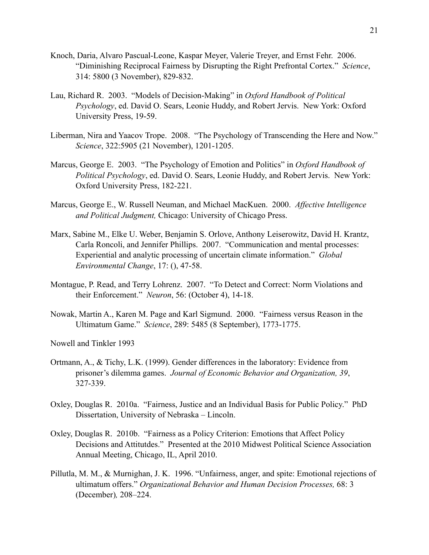- Knoch, Daria, Alvaro Pascual-Leone, Kaspar Meyer, Valerie Treyer, and Ernst Fehr. 2006. "Diminishing Reciprocal Fairness by Disrupting the Right Prefrontal Cortex." *Science*, 314: 5800 (3 November), 829-832.
- Lau, Richard R. 2003. "Models of Decision-Making" in *Oxford Handbook of Political Psychology*, ed. David O. Sears, Leonie Huddy, and Robert Jervis. New York: Oxford University Press, 19-59.
- Liberman, Nira and Yaacov Trope. 2008. "The Psychology of Transcending the Here and Now." *Science*, 322:5905 (21 November), 1201-1205.
- Marcus, George E. 2003. "The Psychology of Emotion and Politics" in *Oxford Handbook of Political Psychology*, ed. David O. Sears, Leonie Huddy, and Robert Jervis. New York: Oxford University Press, 182-221.
- Marcus, George E., W. Russell Neuman, and Michael MacKuen. 2000. *Affective Intelligence and Political Judgment,* Chicago: University of Chicago Press.
- Marx, Sabine M., Elke U. Weber, Benjamin S. Orlove, Anthony Leiserowitz, David H. Krantz, Carla Roncoli, and Jennifer Phillips. 2007. "Communication and mental processes: Experiential and analytic processing of uncertain climate information." *Global Environmental Change*, 17: (), 47-58.
- Montague, P. Read, and Terry Lohrenz. 2007. "To Detect and Correct: Norm Violations and their Enforcement." *Neuron*, 56: (October 4), 14-18.
- Nowak, Martin A., Karen M. Page and Karl Sigmund. 2000. "Fairness versus Reason in the Ultimatum Game." *Science*, 289: 5485 (8 September), 1773-1775.
- Nowell and Tinkler 1993
- Ortmann, A., & Tichy, L.K. (1999). Gender differences in the laboratory: Evidence from prisoner's dilemma games. *Journal of Economic Behavior and Organization, 39*, 327-339.
- Oxley, Douglas R. 2010a. "Fairness, Justice and an Individual Basis for Public Policy." PhD Dissertation, University of Nebraska – Lincoln.
- Oxley, Douglas R. 2010b. "Fairness as a Policy Criterion: Emotions that Affect Policy Decisions and Attitutdes." Presented at the 2010 Midwest Political Science Association Annual Meeting, Chicago, IL, April 2010.
- Pillutla, M. M., & Murnighan, J. K. 1996. "Unfairness, anger, and spite: Emotional rejections of ultimatum offers." *Organizational Behavior and Human Decision Processes,* 68: 3 (December)*,* 208–224.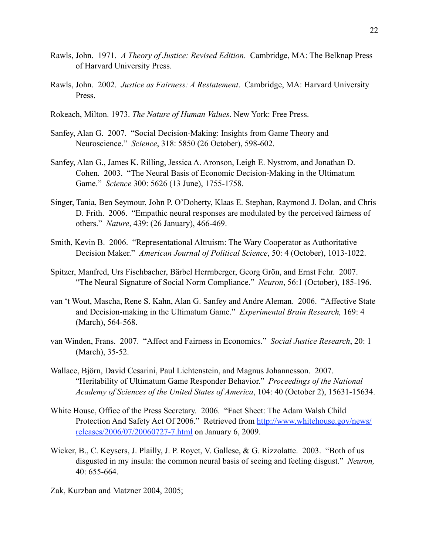- Rawls, John. 1971. *A Theory of Justice: Revised Edition*. Cambridge, MA: The Belknap Press of Harvard University Press.
- Rawls, John. 2002. *Justice as Fairness: A Restatement*. Cambridge, MA: Harvard University Press.
- Rokeach, Milton. 1973. *The Nature of Human Values*. New York: Free Press.
- Sanfey, Alan G. 2007. "Social Decision-Making: Insights from Game Theory and Neuroscience." *Science*, 318: 5850 (26 October), 598-602.
- Sanfey, Alan G., James K. Rilling, Jessica A. Aronson, Leigh E. Nystrom, and Jonathan D. Cohen. 2003. "The Neural Basis of Economic Decision-Making in the Ultimatum Game." *Science* 300: 5626 (13 June), 1755-1758.
- Singer, Tania, Ben Seymour, John P. O'Doherty, Klaas E. Stephan, Raymond J. Dolan, and Chris D. Frith. 2006. "Empathic neural responses are modulated by the perceived fairness of others." *Nature*, 439: (26 January), 466-469.
- Smith, Kevin B. 2006. "Representational Altruism: The Wary Cooperator as Authoritative Decision Maker." *American Journal of Political Science*, 50: 4 (October), 1013-1022.
- Spitzer, Manfred, Urs Fischbacher, Bärbel Herrnberger, Georg Grön, and Ernst Fehr. 2007. "The Neural Signature of Social Norm Compliance." *Neuron*, 56:1 (October), 185-196.
- van 't Wout, Mascha, Rene S. Kahn, Alan G. Sanfey and Andre Aleman. 2006. "Affective State and Decision-making in the Ultimatum Game." *Experimental Brain Research,* 169: 4 (March), 564-568.
- van Winden, Frans. 2007. "Affect and Fairness in Economics." *Social Justice Research*, 20: 1 (March), 35-52.
- Wallace, Björn, David Cesarini, Paul Lichtenstein, and Magnus Johannesson. 2007. "Heritability of Ultimatum Game Responder Behavior." *Proceedings of the National Academy of Sciences of the United States of America*, 104: 40 (October 2), 15631-15634.
- White House, Office of the Press Secretary. 2006. "Fact Sheet: The Adam Walsh Child Protection And Safety Act Of 2006." Retrieved from [http://www.whitehouse.gov/news/](http://www.whitehouse.gov/news/releases/2006/07/20060727-7.html) [releases/2006/07/20060727-7.html](http://www.whitehouse.gov/news/releases/2006/07/20060727-7.html) on January 6, 2009.
- Wicker, B., C. Keysers, J. Plailly, J. P. Royet, V. Gallese, & G. Rizzolatte. 2003. "Both of us disgusted in my insula: the common neural basis of seeing and feeling disgust." *Neuron,*  40: 655-664.

Zak, Kurzban and Matzner 2004, 2005;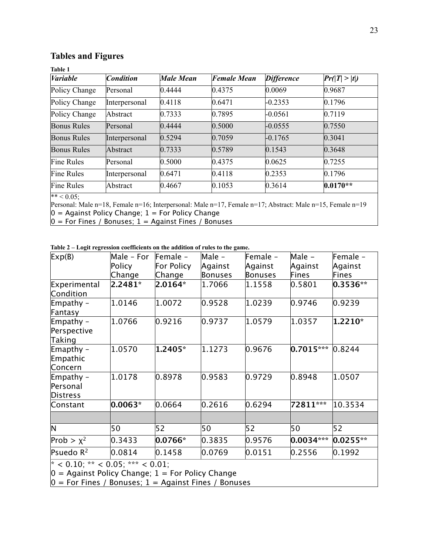# **Tables and Figures**

| <b>Variable</b>    | <b>Condition</b> | <b>Male Mean</b> | <b>Female Mean</b> | <b>Difference</b> | Pr(T  >  t ) |
|--------------------|------------------|------------------|--------------------|-------------------|--------------|
| Policy Change      | Personal         | 0.4444           | 0.4375             | 0.0069            | 0.9687       |
| Policy Change      | Interpersonal    | 0.4118           | 0.6471             | $-0.2353$         | 0.1796       |
| Policy Change      | Abstract         | 0.7333           | 0.7895             | $-0.0561$         | 0.7119       |
| <b>Bonus Rules</b> | Personal         | 0.4444           | 0.5000             | $-0.0555$         | 0.7550       |
| <b>Bonus Rules</b> | Interpersonal    | 0.5294           | 0.7059             | $-0.1765$         | 0.3041       |
| <b>Bonus Rules</b> | Abstract         | 0.7333           | 0.5789             | 0.1543            | 0.3648       |
| <b>Fine Rules</b>  | Personal         | 0.5000           | 0.4375             | 0.0625            | 0.7255       |
| <b>Fine Rules</b>  | Interpersonal    | 0.6471           | 0.4118             | 0.2353            | 0.1796       |
| <b>Fine Rules</b>  | Abstract         | 0.4667           | 0.1053             | 0.3614            | $0.0170**$   |

 $** < 0.05$ ;

Personal: Male n=18, Female n=16; Interpersonal: Male n=17, Female n=17; Abstract: Male n=15, Female n=19

 $0 =$  Against Policy Change;  $1 =$  For Policy Change

 $0 =$  For Fines / Bonuses;  $1 =$  Against Fines / Bonuses

| Table 2 – Logit regression coefficients on the addition of rules to the game. |  |  |  |
|-------------------------------------------------------------------------------|--|--|--|
|-------------------------------------------------------------------------------|--|--|--|

| Exp(B)                                   | Male - For                                                                 | $Female -$ | Male -  | Female - | Male -      | Female -         |
|------------------------------------------|----------------------------------------------------------------------------|------------|---------|----------|-------------|------------------|
|                                          | Policy                                                                     | For Policy | Against | Against  | Against     | Against          |
|                                          | Change                                                                     | Change     | Bonuses | Bonuses  | Fines       | Fines            |
| Experimental<br>Condition                | $2.2481*$                                                                  | 2.0164*    | 1.7066  | 1.1558   | 0.5801      | $0.3536**$       |
| Empathy -<br>Fantasy                     | 1.0146                                                                     | 1.0072     | 0.9528  | 1.0239   | 0.9746      | 0.9239           |
| Empathy $-$<br>Perspective<br>Taking     | 1.0766                                                                     | 0.9216     | 0.9737  | 1.0579   | 1.0357      | 1.2210*          |
| Emapthy -<br>Empathic<br>Concern         | 1.0570                                                                     | 1.2405*    | 1.1273  | 0.9676   | $0.7015***$ | 0.8244           |
| Empathy -<br>Personal<br><b>Distress</b> | 1.0178                                                                     | 0.8978     | 0.9583  | 0.9729   | 0.8948      | 1.0507           |
| Constant                                 | $0.0063*$                                                                  | 0.0664     | 0.2616  | 0.6294   | 72811***    | 10.3534          |
| N                                        | 50                                                                         | 52         | 50      | 52       | 50          | 52               |
| Prob > $\chi^2$                          | 0.3433                                                                     | $0.0766*$  | 0.3835  | 0.9576   | $0.0034***$ | $0.0255**$       |
| Psuedo R <sup>2</sup>                    | 0.0814                                                                     | 0.1458     | 0.0769  | 0.0151   | 0.2556      | $ 0.1992\rangle$ |
| سده ۱۸۰۰ ب                               | $\lambda$ $\Lambda$ $\Lambda$ $\Gamma$ . $\lambda \lambda \lambda \lambda$ | . 0.01     |         |          |             |                  |

 $^*$  < 0.10;  $^{**}$  < 0.05;  $^{***}$  < 0.01;

 $0 =$  Against Policy Change;  $1 =$  For Policy Change

 $0 =$  For Fines / Bonuses;  $1 =$  Against Fines / Bonuses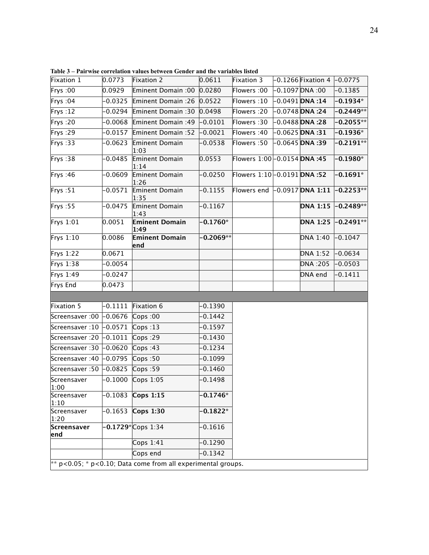| Fixation 1           | 0.0773               | Fixation 2                                                          | 0.0611      | Fixation 3                   | $-0.1266$ Fixation 4 | $-0.0775$   |
|----------------------|----------------------|---------------------------------------------------------------------|-------------|------------------------------|----------------------|-------------|
| Frys:00              | 0.0929               | Eminent Domain :00                                                  | 0.0280      | Flowers :00                  | 0.1097 DNA:00        | $-0.1385$   |
| Frys: 04             | $-0.0325$            | Eminent Domain: 26                                                  | 0.0522      | Flowers: 10                  | $-0.0491$ DNA:14     | $-0.1934*$  |
| Frys: $12$           | $-0.0294$            | Eminent Domain: 30                                                  | 0.0498      | Flowers: 20                  | $-0.0748$ DNA:24     | $-0.2449**$ |
| Frys: 20             | 0.0068               | Eminent Domain: 49                                                  | $-0.0101$   | Flowers: 30                  | $-0.0488$ DNA: 28    | -0.2055**   |
| Frys: 29             | $-0.0157$            | Eminent Domain: 52                                                  | $-0.0021$   | Flowers :40                  | $-0.0625$ DNA:31     | $-0.1936*$  |
| Frys: 33             | $-0.0623$            | Eminent Domain<br>1:03                                              | $-0.0538$   | Flowers: 50                  | $-0.0645$ DNA:39     | $-0.2191**$ |
| Frys: 38             | $-0.0485$            | Eminent Domain<br>1:14                                              | 0.0553      | Flowers 1:00 - 0.0154 DNA:45 |                      | $-0.1980*$  |
| Frys: 46             | $-0.0609$            | Eminent Domain<br>1:26                                              | $-0.0250$   | Flowers 1:10-0.0191 DNA :52  |                      | $-0.1691*$  |
| Frys: 51             | $-0.0571$            | Eminent Domain<br>1:35                                              | $-0.1155$   | Flowers end                  | $-0.0917$ DNA 1:11   | $-0.2253**$ |
| Frys: 55             | $-0.0475$            | Eminent Domain<br>1:43                                              | 0.1167      |                              | <b>DNA 1:15</b>      | $-0.2489**$ |
| Frys 1:01            | 0.0051               | <b>Eminent Domain</b><br>1:49                                       | $-0.1760*$  |                              | <b>DNA 1:25</b>      | $-0.2491**$ |
| Frys $1:10$          | 0.0086               | <b>Eminent Domain</b><br>end                                        | $-0.2069**$ |                              | DNA 1:40             | $-0.1047$   |
| Frys 1:22            | 0.0671               |                                                                     |             |                              | <b>DNA 1:52</b>      | $-0.0634$   |
| Frys 1:38            | $-0.0054$            |                                                                     |             |                              | DNA : 205            | $-0.0503$   |
| Frys 1:49            | $-0.0247$            |                                                                     |             |                              | DNA end              | $-0.1411$   |
| Frys End             | 0.0473               |                                                                     |             |                              |                      |             |
|                      |                      |                                                                     |             |                              |                      |             |
| Fixation 5           | -0.1111              | Fixation 6                                                          | $-0.1390$   |                              |                      |             |
| Screensaver :00      | $-0.0676$            | Cops:00                                                             | $-0.1442$   |                              |                      |             |
| Screensaver : 10     | $\overline{-0.0571}$ | Cops:13                                                             | $-0.1597$   |                              |                      |             |
| Screensaver : 20     | $-0.1011$            | Cops:29                                                             | $-0.1430$   |                              |                      |             |
| Screensaver :30      | $-0.0620$            | Cops:43                                                             | $-0.1234$   |                              |                      |             |
| Screensaver :40      | $-0.0795$            | Cops:50                                                             | $-0.1099$   |                              |                      |             |
| Screensaver :50      | $-0.0825$            | Cops:59                                                             | $-0.1460$   |                              |                      |             |
| Screensaver<br> 1:00 | $-0.1000$            | Cops 1:05                                                           | $-0.1498$   |                              |                      |             |
| Screensaver<br>1:10  | 0.1083               | Cops 1:15                                                           | $-0.1746*$  |                              |                      |             |
| Screensaver<br>1:20  | 0.1653               | Cops 1:30                                                           | $-0.1822*$  |                              |                      |             |
| Screensaver<br>end   |                      | $-0.1729*$ Cops 1:34                                                | 0.1616      |                              |                      |             |
|                      |                      | Cops $1:41$                                                         | $-0.1290$   |                              |                      |             |
|                      |                      | Cops end                                                            | $-0.1342$   |                              |                      |             |
|                      |                      | $*$ p < 0.05; $*$ p < 0.10; Data come from all experimental groups. |             |                              |                      |             |

**Table 3 – Pairwise correlation values between Gender and the variables listed**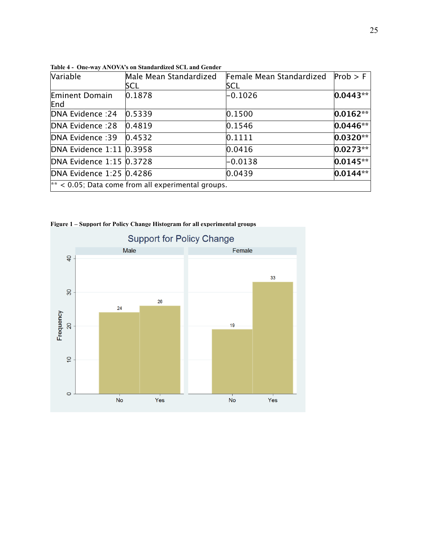| Variable                                             | Male Mean Standardized<br>SCL | Female Mean Standardized<br>SCL | Prob > F     |  |  |
|------------------------------------------------------|-------------------------------|---------------------------------|--------------|--|--|
| Eminent Domain<br>End                                | 0.1878                        | $-0.1026$                       | $ 0.0443** $ |  |  |
| DNA Evidence : 24                                    | 0.5339                        | 0.1500                          | $0.0162**$   |  |  |
| <b>DNA Evidence: 28</b>                              | 0.4819                        | 0.1546                          | $ 0.0446** $ |  |  |
| DNA Evidence :39                                     | 0.4532                        | 0.1111                          | $ 0.0320** $ |  |  |
| DNA Evidence 1:11 0.3958                             |                               | 0.0416                          | $ 0.0273** $ |  |  |
| DNA Evidence 1:15 0.3728                             |                               | $-0.0138$                       | $ 0.0145** $ |  |  |
| DNA Evidence 1:25 0.4286                             |                               | 0.0439                          | $ 0.0144** $ |  |  |
| $**$ < 0.05; Data come from all experimental groups. |                               |                                 |              |  |  |

**Table 4 - One-way ANOVA's on Standardized SCL and Gender** 

**Figure 1 – Support for Policy Change Histogram for all experimental groups**

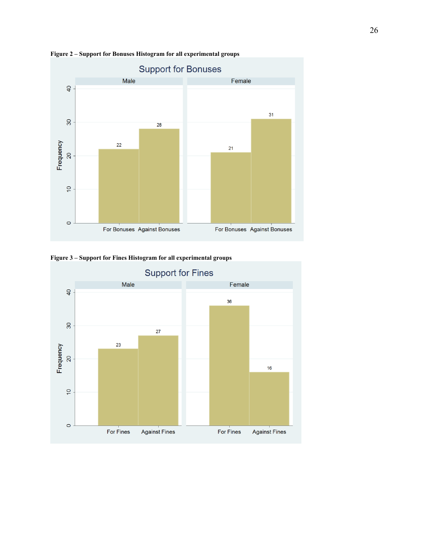

**Figure 2 – Support for Bonuses Histogram for all experimental groups**



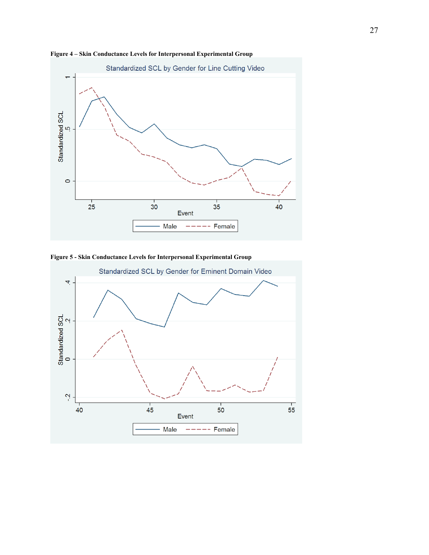

**Figure 4 – Skin Conductance Levels for Interpersonal Experimental Group**



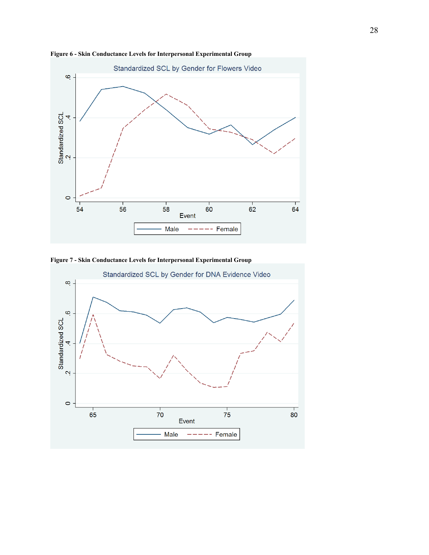

**Figure 6 - Skin Conductance Levels for Interpersonal Experimental Group**